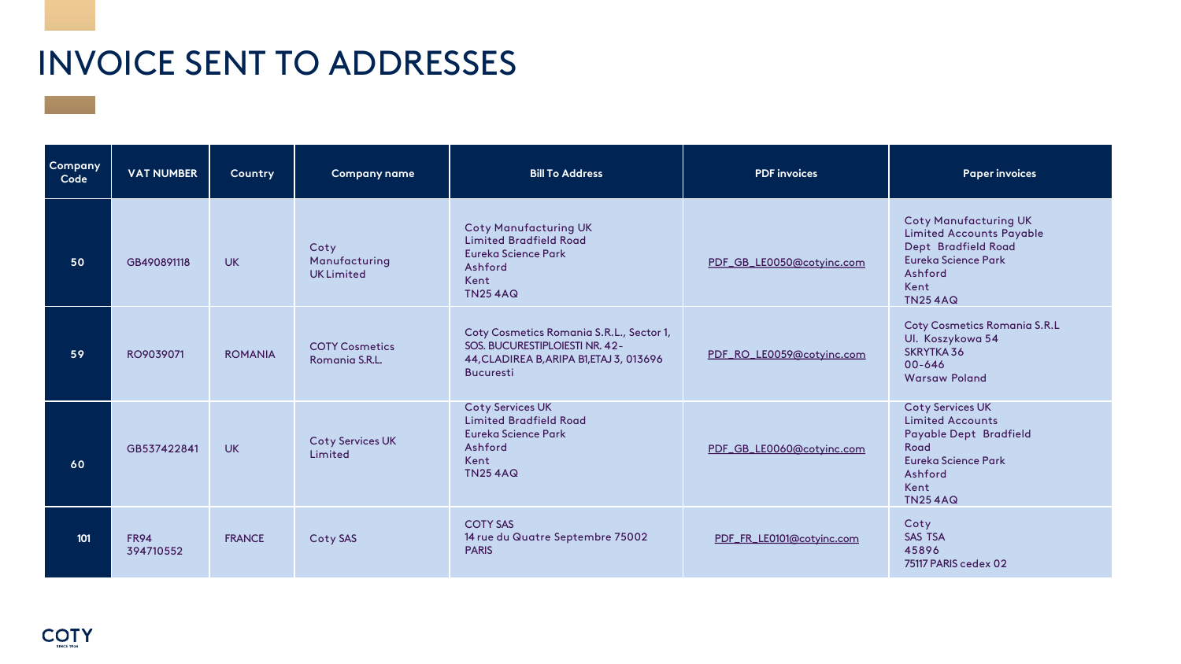| Company<br>Code | <b>VAT NUMBER</b> | Country        | <b>Company name</b>                       | <b>Bill To Address</b>                                                                                                                     | <b>PDF</b> invoices       | <b>Paper invoices</b>                                                                                                                                     |
|-----------------|-------------------|----------------|-------------------------------------------|--------------------------------------------------------------------------------------------------------------------------------------------|---------------------------|-----------------------------------------------------------------------------------------------------------------------------------------------------------|
| 50              | GB490891118       | <b>UK</b>      | Coty<br>Manufacturing<br><b>UKLimited</b> | <b>Coty Manufacturing UK</b><br><b>Limited Bradfield Road</b><br>Eureka Science Park<br>Ashford<br>Kent<br><b>TN254AQ</b>                  | PDF_GB_LE0050@cotyinc.com | <b>Coty Manufacturing UK</b><br><b>Limited Accounts Payable</b><br>Dept Bradfield Road<br><b>Eureka Science Park</b><br>Ashford<br>Kent<br><b>TN254AQ</b> |
| 59              | RO9039071         | <b>ROMANIA</b> | <b>COTY Cosmetics</b><br>Romania S.R.L.   | Coty Cosmetics Romania S.R.L., Sector 1,<br>SOS. BUCURESTIPLOIESTI NR. 42-<br>44, CLADIREA B, ARIPA B1, ETAJ 3, 013696<br><b>Bucuresti</b> | PDF_RO_LE0059@cotyinc.com | <b>Coty Cosmetics Romania S.R.L</b><br>Ul. Koszykowa 54<br><b>SKRYTKA 36</b><br>00-646<br><b>Warsaw Poland</b>                                            |
| 60              | GB537422841       | <b>UK</b>      | Coty Services UK<br>Limited               | <b>Coty Services UK</b><br><b>Limited Bradfield Road</b><br><b>Eureka Science Park</b><br>Ashford<br>Kent<br><b>TN254AQ</b>                | PDF_GB_LE0060@cotyinc.com | <b>Coty Services UK</b><br><b>Limited Accounts</b><br><b>Payable Dept Bradfield</b><br>Road<br>Eureka Science Park<br>Ashford<br>Kent<br><b>TN254AQ</b>   |
| 101             | FR94<br>394710552 | <b>FRANCE</b>  | Coty SAS                                  | <b>COTY SAS</b><br>14 rue du Quatre Septembre 75002<br><b>PARIS</b>                                                                        | PDF_FR_LE0101@cotyinc.com | Coty<br><b>SAS TSA</b><br>45896<br>75117 PARIS cedex 02                                                                                                   |

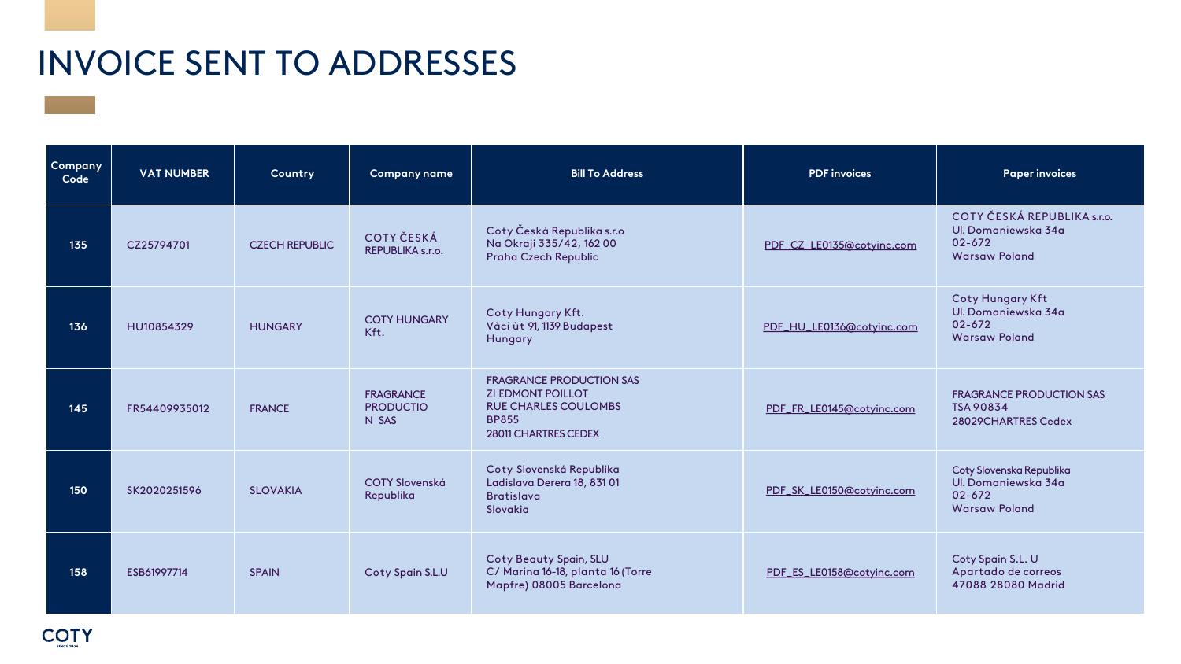| Company<br>Code | <b>VAT NUMBER</b> | Country               | <b>Company name</b>                           | <b>Bill To Address</b>                                                                                                                    | <b>PDF</b> invoices       | <b>Paper invoices</b>                                                                 |
|-----------------|-------------------|-----------------------|-----------------------------------------------|-------------------------------------------------------------------------------------------------------------------------------------------|---------------------------|---------------------------------------------------------------------------------------|
| 135             | CZ25794701        | <b>CZECH REPUBLIC</b> | COTY ČESKÁ<br>REPUBLIKA s.r.o.                | Coty Česká Republika s.r.o<br>Na Okraji 335/42, 16200<br><b>Praha Czech Republic</b>                                                      | PDF_CZ_LE0135@cotyinc.com | <b>COTY ČESKÁ REPUBLI</b><br>Ul. Domaniewska 34a<br>02-672<br><b>Warsaw Poland</b>    |
| 136             | HU10854329        | <b>HUNGARY</b>        | <b>COTY HUNGARY</b><br>Kft.                   | Coty Hungary Kft.<br>Vàci ùt 91, 1139 Budapest<br><b>Hungary</b>                                                                          | PDF_HU_LE0136@cotyinc.com | <b>Coty Hungary Kft</b><br>Ul. Domaniewska 34a<br>$02 - 672$<br><b>Warsaw Poland</b>  |
| 145             | FR54409935012     | <b>FRANCE</b>         | <b>FRAGRANCE</b><br><b>PRODUCTIO</b><br>N SAS | <b>FRAGRANCE PRODUCTION SAS</b><br><b>ZI EDMONT POILLOT</b><br><b>RUE CHARLES COULOMBS</b><br><b>BP855</b><br><b>28011 CHARTRES CEDEX</b> | PDF_FR_LE0145@cotyinc.com | <b>FRAGRANCE PRODUCTIC</b><br><b>TSA 90834</b><br>28029CHARTRES Cedex                 |
| 150             | SK2020251596      | <b>SLOVAKIA</b>       | <b>COTY Slovenská</b><br>Republika            | Coty Slovenská Republika<br>Ladislava Derera 18, 831 01<br><b>Bratislava</b><br>Slovakia                                                  | PDF_SK_LE0150@cotyinc.com | Coty Slovenska Republika<br>Ul. Domaniewska 34a<br>$02 - 672$<br><b>Warsaw Poland</b> |
| 158             | ESB61997714       | <b>SPAIN</b>          | Coty Spain S.L.U                              | <b>Coty Beauty Spain, SLU</b><br>C/ Marina 16-18, planta 16 (Torre<br>Mapfre) 08005 Barcelona                                             | PDF_ES_LE0158@cotyinc.com | Coty Spain S.L. U<br>Apartado de correos<br>47088 28080 Madrid                        |



| <b>PDF</b> invoices       | <b>Paper invoices</b>                                                                    |
|---------------------------|------------------------------------------------------------------------------------------|
| PDF_CZ_LE0135@cotyinc.com | COTY ČESKÁ REPUBLIKA s.r.o.<br>Ul. Domaniewska 34a<br>$02 - 672$<br><b>Warsaw Poland</b> |
| PDF_HU_LE0136@cotyinc.com | <b>Coty Hungary Kft</b><br>Ul. Domaniewska 34a<br>$02 - 672$<br><b>Warsaw Poland</b>     |
| PDF_FR_LE0145@cotyinc.com | <b>FRAGRANCE PRODUCTION SAS</b><br><b>TSA 90834</b><br>28029CHARTRES Cedex               |
| PDF_SK_LE0150@cotyinc.com | Coty Slovenska Republika<br>Ul. Domaniewska 34a<br>$02 - 672$<br><b>Warsaw Poland</b>    |
| PDF_ES_LE0158@cotyinc.com | Coty Spain S.L. U<br>Apartado de correos<br>47088 28080 Madrid                           |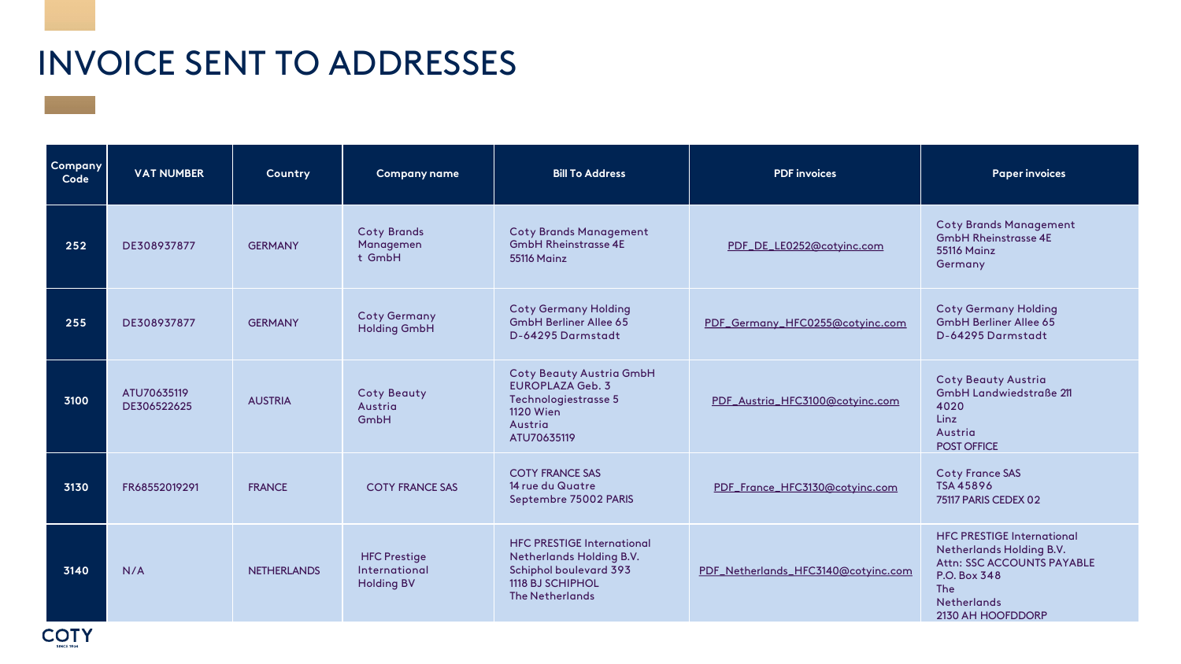| <b>Company</b><br>Code | <b>VAT NUMBER</b>          | Country            | <b>Company name</b>                                       | <b>Bill To Address</b>                                                                                                                              | <b>PDF</b> invoices                 | <b>Paper invoices</b>                                                                                                                                                 |
|------------------------|----------------------------|--------------------|-----------------------------------------------------------|-----------------------------------------------------------------------------------------------------------------------------------------------------|-------------------------------------|-----------------------------------------------------------------------------------------------------------------------------------------------------------------------|
| 252                    | DE308937877                | <b>GERMANY</b>     | <b>Coty Brands</b><br>Managemen<br>t GmbH                 | <b>Coty Brands Management</b><br><b>GmbH Rheinstrasse 4E</b><br><b>55116 Mainz</b>                                                                  | PDF_DE_LE0252@cotyinc.com           | <b>Coty Brands Manageme</b><br><b>GmbH Rheinstrasse 4E</b><br><b>55116 Mainz</b><br>Germany                                                                           |
| 255                    | DE308937877                | <b>GERMANY</b>     | <b>Coty Germany</b><br><b>Holding GmbH</b>                | <b>Coty Germany Holding</b><br><b>GmbH Berliner Allee 65</b><br>D-64295 Darmstadt                                                                   | PDF_Germany_HFC0255@cotyinc.com     | <b>Coty Germany Holding</b><br><b>GmbH Berliner Allee 65</b><br>D-64295 Darmstadt                                                                                     |
| 3100                   | ATU70635119<br>DE306522625 | <b>AUSTRIA</b>     | <b>Coty Beauty</b><br>Austria<br>GmbH                     | <b>Coty Beauty Austria GmbH</b><br><b>EUROPLAZA Geb. 3</b><br>Technologiestrasse 5<br><b>1120 Wien</b><br>Austria<br>ATU70635119                    | PDF_Austria_HFC3100@cotyinc.com     | <b>Coty Beauty Austria</b><br><b>GmbH Landwiedstraße 2</b><br>4020<br>Linz<br>Austria<br><b>POST OFFICE</b>                                                           |
| 3130                   | FR68552019291              | <b>FRANCE</b>      | <b>COTY FRANCE SAS</b>                                    | <b>COTY FRANCE SAS</b><br>14 rue du Quatre<br>Septembre 75002 PARIS                                                                                 | PDF_France_HFC3130@cotyinc.com      | <b>Coty France SAS</b><br><b>TSA 45896</b><br>75117 PARIS CEDEX 02                                                                                                    |
| 3140                   | N/A                        | <b>NETHERLANDS</b> | <b>HFC Prestige</b><br>International<br><b>Holding BV</b> | <b>HFC PRESTIGE International</b><br><b>Netherlands Holding B.V.</b><br><b>Schiphol boulevard 393</b><br>1118 BJ SCHIPHOL<br><b>The Netherlands</b> | PDF_Netherlands_HFC3140@cotyinc.com | <b>HFC PRESTIGE Internation</b><br><b>Netherlands Holding B.V.</b><br>Attn: SSC ACCOUNTS PA'<br>P.O. Box 348<br><b>The</b><br><b>Netherlands</b><br>2130 AH HOOFDDORP |



| <b>PDF</b> invoices                 | <b>Paper invoices</b>                                                                                                                                                              |
|-------------------------------------|------------------------------------------------------------------------------------------------------------------------------------------------------------------------------------|
| PDF_DE_LE0252@cotyinc.com           | <b>Coty Brands Management</b><br><b>GmbH Rheinstrasse 4E</b><br><b>55116 Mainz</b><br>Germany                                                                                      |
| PDF_Germany_HFC0255@cotyinc.com     | <b>Coty Germany Holding</b><br><b>GmbH Berliner Allee 65</b><br>D-64295 Darmstadt                                                                                                  |
| PDF_Austria_HFC3100@cotyinc.com     | <b>Coty Beauty Austria</b><br><b>GmbH Landwiedstraße 211</b><br>4020<br>Linz<br>Austria<br><b>POST OFFICE</b>                                                                      |
| PDF_France_HFC3130@cotyinc.com      | <b>Coty France SAS</b><br>TSA 45896<br>75117 PARIS CEDEX 02                                                                                                                        |
| PDF_Netherlands_HFC3140@cotyinc.com | <b>HFC PRESTIGE International</b><br><b>Netherlands Holding B.V.</b><br><b>Attn: SSC ACCOUNTS PAYABLE</b><br>P.O. Box 348<br><b>The</b><br><b>Netherlands</b><br>2130 AH HOOFDDORP |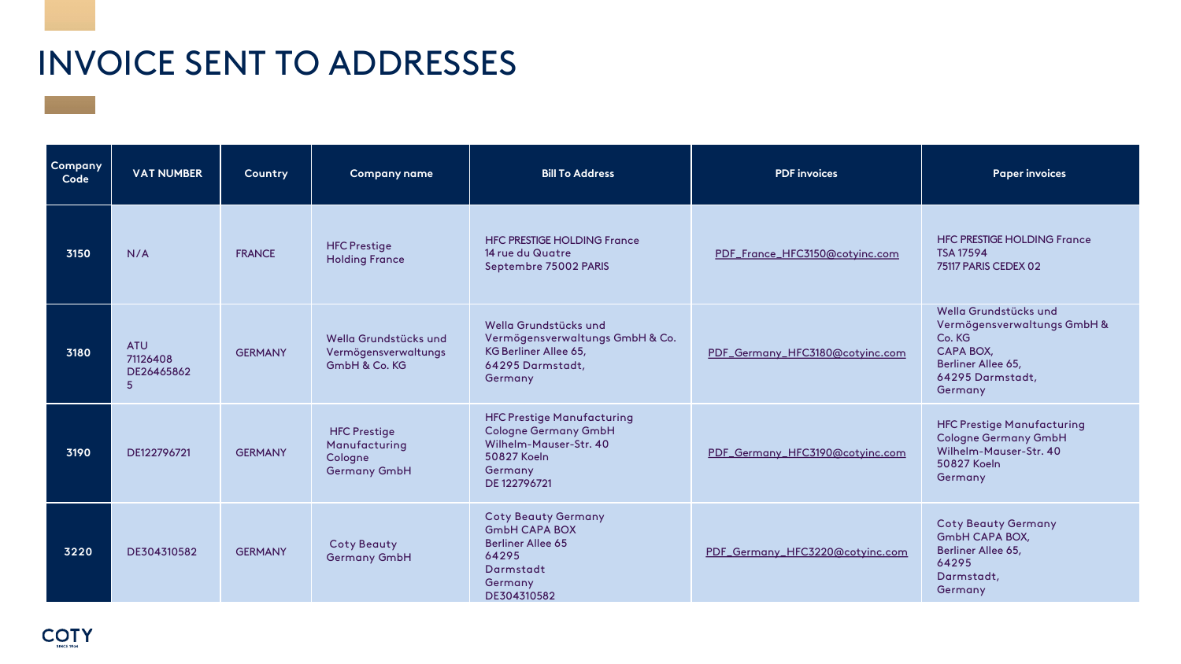| Company<br>Code | <b>VAT NUMBER</b>                         | Country        | <b>Company name</b>                                                    | <b>Bill To Address</b>                                                                                                               | <b>PDF</b> invoices             | <b>Paper invoices</b>                                                                                                                   |
|-----------------|-------------------------------------------|----------------|------------------------------------------------------------------------|--------------------------------------------------------------------------------------------------------------------------------------|---------------------------------|-----------------------------------------------------------------------------------------------------------------------------------------|
| 3150            | N/A                                       | <b>FRANCE</b>  | <b>HFC Prestige</b><br><b>Holding France</b>                           | <b>HFC PRESTIGE HOLDING France</b><br>14 rue du Quatre<br>Septembre 75002 PARIS                                                      | PDF_France_HFC3150@cotyinc.com  | <b>HFC PRESTIGE HOLDING France</b><br><b>TSA 17594</b><br>75117 PARIS CEDEX 02                                                          |
| 3180            | <b>ATU</b><br>71126408<br>DE26465862<br>5 | <b>GERMANY</b> | Wella Grundstücks und<br>Vermögensverwaltungs<br>GmbH & Co. KG         | Wella Grundstücks und<br>Vermögensverwaltungs GmbH & Co.<br>KG Berliner Allee 65,<br>64295 Darmstadt,<br>Germany                     | PDF_Germany_HFC3180@cotyinc.com | Wella Grundstücks und<br>Vermögensverwaltungs GmbH &<br>Co. KG<br><b>CAPA BOX,</b><br>Berliner Allee 65,<br>64295 Darmstadt,<br>Germany |
| 3190            | DE122796721                               | <b>GERMANY</b> | <b>HFC Prestige</b><br>Manufacturing<br>Cologne<br><b>Germany GmbH</b> | <b>HFC Prestige Manufacturing</b><br><b>Cologne Germany GmbH</b><br>Wilhelm-Mauser-Str. 40<br>50827 Koeln<br>Germany<br>DE 122796721 | PDF_Germany_HFC3190@cotyinc.com | <b>HFC Prestige Manufacturing</b><br><b>Cologne Germany GmbH</b><br>Wilhelm-Mauser-Str. 40<br>50827 Koeln<br>Germany                    |
| 3220            | DE304310582                               | <b>GERMANY</b> | <b>Coty Beauty</b><br><b>Germany GmbH</b>                              | <b>Coty Beauty Germany</b><br><b>GmbH CAPA BOX</b><br><b>Berliner Allee 65</b><br>64295<br>Darmstadt<br>Germany<br>DE304310582       | PDF_Germany_HFC3220@cotyinc.com | <b>Coty Beauty Germany</b><br>GmbH CAPA BOX,<br>Berliner Allee 65,<br>64295<br>Darmstadt,<br>Germany                                    |

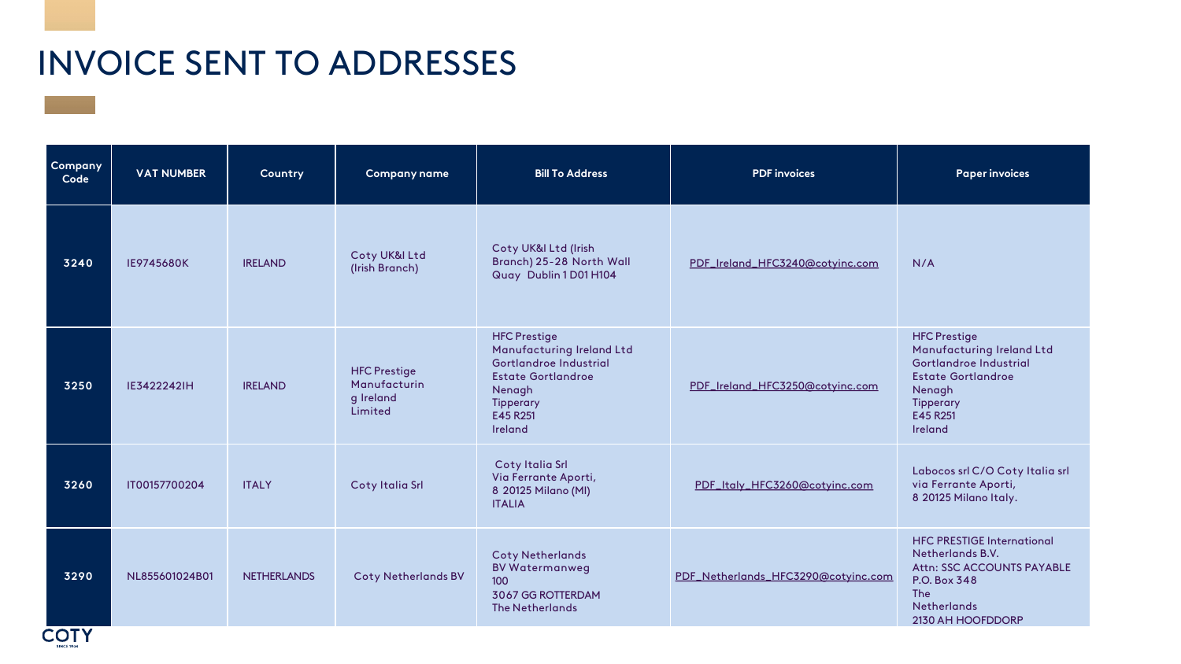| Company<br>Code | <b>VAT NUMBER</b> | Country            | <b>Company name</b>                                         | <b>Bill To Address</b>                                                                                                                                       | <b>PDF</b> invoices                 | <b>Paper invoices</b>                                                                                                                                               |
|-----------------|-------------------|--------------------|-------------------------------------------------------------|--------------------------------------------------------------------------------------------------------------------------------------------------------------|-------------------------------------|---------------------------------------------------------------------------------------------------------------------------------------------------------------------|
| 3240            | <b>IE9745680K</b> | <b>IRELAND</b>     | Coty UK&I Ltd<br>(Irish Branch)                             | Coty UK&I Ltd (Irish<br>Branch) 25-28 North Wall<br>Quay Dublin 1 D01 H104                                                                                   | PDF_Ireland_HFC3240@cotyinc.com     | N/A                                                                                                                                                                 |
| 3250            | IE3422242IH       | <b>IRELAND</b>     | <b>HFC Prestige</b><br>Manufacturin<br>g Ireland<br>Limited | <b>HFC Prestige</b><br>Manufacturing Ireland Ltd<br>Gortlandroe Industrial<br><b>Estate Gortlandroe</b><br>Nenagh<br><b>Tipperary</b><br>E45 R251<br>Ireland | PDF_Ireland_HFC3250@cotyinc.com     | <b>HFC Prestige</b><br>Manufacturing Ireland Ltd<br>Gortlandroe Industrial<br><b>Estate Gortlandroe</b><br>Nenagh<br><b>Tipperary</b><br>E45 R251<br>Ireland        |
| 3260            | IT00157700204     | <b>ITALY</b>       | Coty Italia Srl                                             | <b>Coty Italia Srl</b><br>Via Ferrante Aporti,<br>8 20125 Milano (MI)<br><b>ITALIA</b>                                                                       | PDF_Italy_HFC3260@cotyinc.com       | Labocos srl C/O Coty Italia srl<br>via Ferrante Aporti,<br>8 20125 Milano Italy.                                                                                    |
| 3290            | NL855601024B01    | <b>NETHERLANDS</b> | <b>Coty Netherlands BV</b>                                  | <b>Coty Netherlands</b><br><b>BV Watermanweg</b><br>100<br>3067 GG ROTTERDAM<br>The Netherlands                                                              | PDF_Netherlands_HFC3290@cotyinc.com | <b>HFC PRESTIGE International</b><br><b>Netherlands B.V.</b><br>Attn: SSC ACCOUNTS PAYABLE<br>P.O. Box 348<br><b>The</b><br><b>Netherlands</b><br>2130 AH HOOFDDORP |

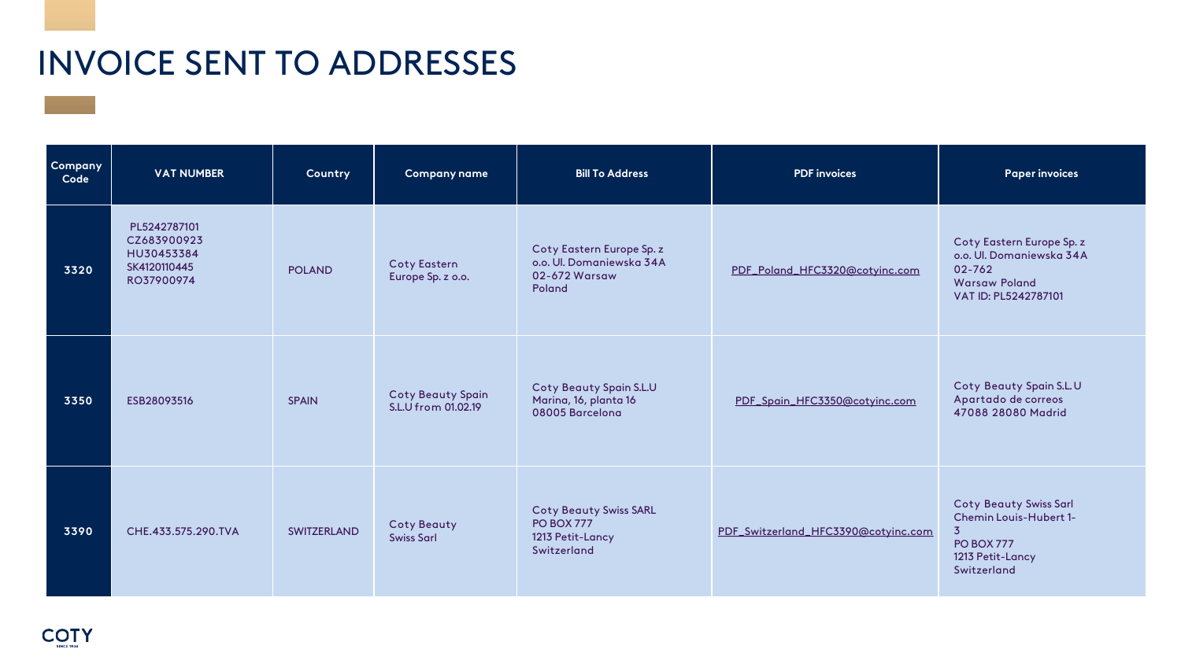| Company<br>Code | <b>VAT NUMBER</b>                                                       | Country            | <b>Company name</b>                             | <b>Bill To Address</b>                                                                | <b>PDF</b> invoices                 | <b>Paper invoices</b>                                                                                                        |
|-----------------|-------------------------------------------------------------------------|--------------------|-------------------------------------------------|---------------------------------------------------------------------------------------|-------------------------------------|------------------------------------------------------------------------------------------------------------------------------|
| 3320            | PL5242787101<br>CZ683900923<br>HU30453384<br>SK4120110445<br>RO37900974 | <b>POLAND</b>      | <b>Coty Eastern</b><br>Europe Sp. z o.o.        | Coty Eastern Europe Sp. z<br>o.o. Ul. Domaniewska 34A<br>02-672 Warsaw<br>Poland      | PDF_Poland_HFC3320@cotyinc.com      | Coty Eastern Europe Sp.<br>o.o. Ul. Domaniewska 34<br>02-762<br><b>Warsaw Poland</b><br>VAT ID: PL5242787101                 |
| 3350            | ESB28093516                                                             | <b>SPAIN</b>       | <b>Coty Beauty Spain</b><br>S.L.U from 01.02.19 | <b>Coty Beauty Spain S.L.U</b><br>Marina, 16, planta 16<br>08005 Barcelona            | PDF_Spain_HFC3350@cotyinc.com       | Coty Beauty Spain S.L.<br>Apartado de correos<br>47088 28080 Madrid                                                          |
| 3390            | CHE.433.575.290.TVA                                                     | <b>SWITZERLAND</b> | <b>Coty Beauty</b><br><b>Swiss Sarl</b>         | <b>Coty Beauty Swiss SARL</b><br><b>PO BOX 777</b><br>1213 Petit-Lancy<br>Switzerland | PDF_Switzerland_HFC3390@cotyinc.com | <b>Coty Beauty Swiss Sarl</b><br><b>Chemin Louis-Hubert 1-</b><br>3.<br><b>PO BOX 777</b><br>1213 Petit-Lancy<br>Switzerland |



| <b>PDF</b> invoices                 | <b>Paper invoices</b>                                                                                                                    |
|-------------------------------------|------------------------------------------------------------------------------------------------------------------------------------------|
| PDF_Poland_HFC3320@cotyinc.com      | Coty Eastern Europe Sp. z<br>o.o. Ul. Domaniewska 34A<br>$02 - 762$<br><b>Warsaw Poland</b><br>VAT ID: PL5242787101                      |
| PDF_Spain_HFC3350@cotyinc.com       | Coty Beauty Spain S.L.U<br>Apartado de correos<br>47088 28080 Madrid                                                                     |
| PDF_Switzerland_HFC3390@cotyinc.com | <b>Coty Beauty Swiss Sarl</b><br><b>Chemin Louis-Hubert 1-</b><br>$\overline{3}$<br><b>PO BOX 777</b><br>1213 Petit-Lancy<br>Switzerland |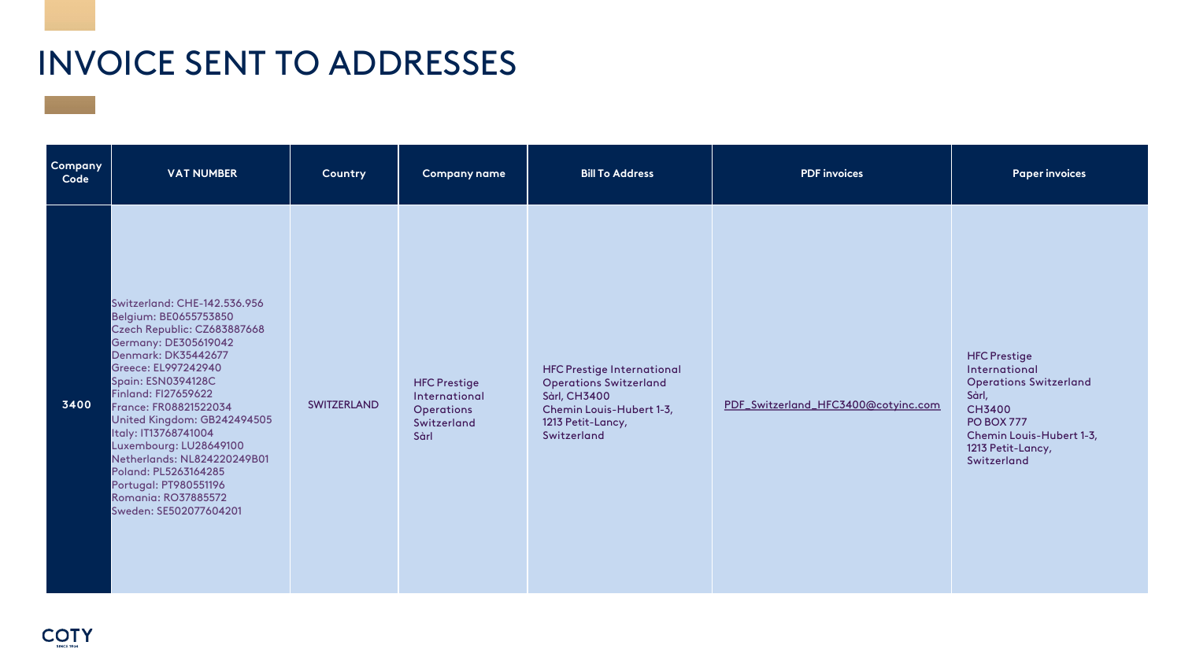| Company<br>Code | <b>VAT NUMBER</b>                                                                                                                                                                                                                                                                                                                                                                                                                                                                     | Country            | <b>Company name</b>                                                              | <b>Bill To Address</b>                                                                                                                                    | <b>PDF</b> invoices                 | <b>Paper invoices</b>                                                                                                                                                                |
|-----------------|---------------------------------------------------------------------------------------------------------------------------------------------------------------------------------------------------------------------------------------------------------------------------------------------------------------------------------------------------------------------------------------------------------------------------------------------------------------------------------------|--------------------|----------------------------------------------------------------------------------|-----------------------------------------------------------------------------------------------------------------------------------------------------------|-------------------------------------|--------------------------------------------------------------------------------------------------------------------------------------------------------------------------------------|
| 3400            | Switzerland: CHE-142.536.956<br>Belgium: BE0655753850<br>Czech Republic: CZ683887668<br><b>Germany: DE305619042</b><br><b>Denmark: DK35442677</b><br>Greece: EL997242940<br><b>Spain: ESN0394128C</b><br><b>Finland: FI27659622</b><br>France: FR08821522034<br>United Kingdom: GB242494505<br>Italy: IT13768741004<br>Luxembourg: LU28649100<br>Netherlands: NL824220249B01<br>Poland: PL5263164285<br>Portugal: PT980551196<br><b>Romania: RO37885572</b><br>Sweden: SE502077604201 | <b>SWITZERLAND</b> | <b>HFC Prestige</b><br>International<br><b>Operations</b><br>Switzerland<br>Sàrl | <b>HFC Prestige International</b><br><b>Operations Switzerland</b><br><b>Sàrl, CH3400</b><br>Chemin Louis-Hubert 1-3,<br>1213 Petit-Lancy,<br>Switzerland | PDF_Switzerland_HFC3400@cotyinc.com | <b>HFC Prestige</b><br>International<br><b>Operations Switzerland</b><br>Sàrl,<br><b>CH3400</b><br><b>PO BOX 777</b><br>Chemin Louis-Hubert 1-3,<br>1213 Petit-Lancy,<br>Switzerland |

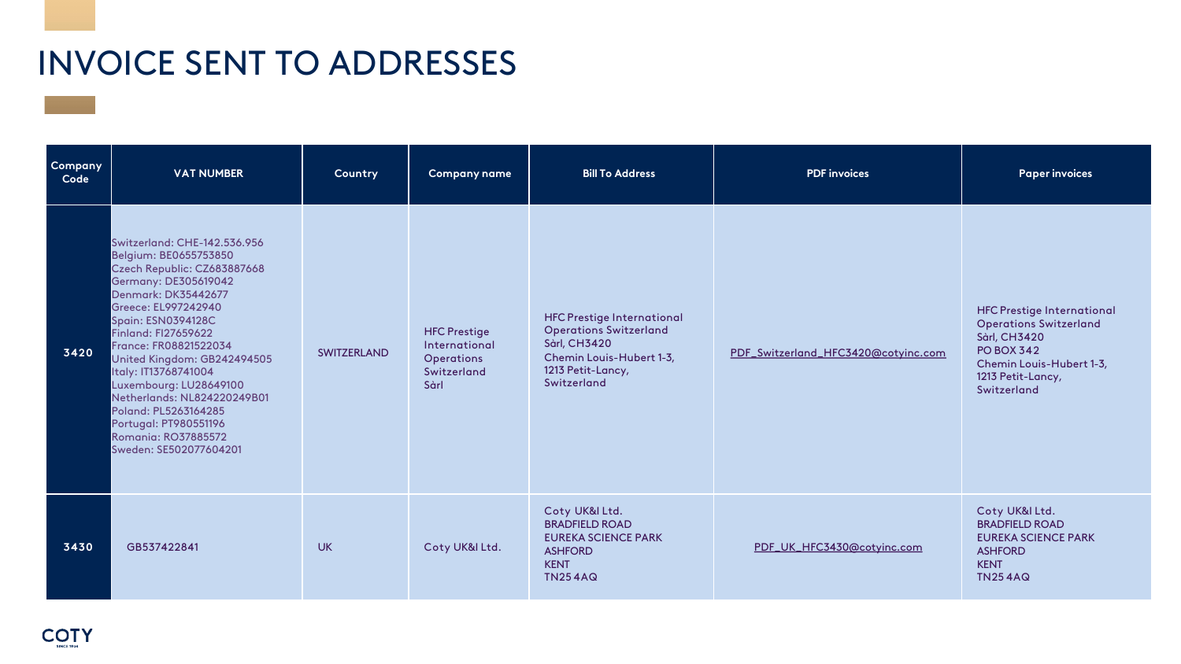| Company<br>Code | <b>VAT NUMBER</b>                                                                                                                                                                                                                                                                                                                                                                                                                                                       | <b>Country</b>     | <b>Company name</b>                                                              | <b>Bill To Address</b>                                                                                                                                    | <b>PDF</b> invoices                 | <b>Paper invoices</b>                                                                                                                                                          |
|-----------------|-------------------------------------------------------------------------------------------------------------------------------------------------------------------------------------------------------------------------------------------------------------------------------------------------------------------------------------------------------------------------------------------------------------------------------------------------------------------------|--------------------|----------------------------------------------------------------------------------|-----------------------------------------------------------------------------------------------------------------------------------------------------------|-------------------------------------|--------------------------------------------------------------------------------------------------------------------------------------------------------------------------------|
| 3420            | Switzerland: CHE-142.536.956<br>Belgium: BE0655753850<br>Czech Republic: CZ683887668<br>Germany: DE305619042<br><b>Denmark: DK35442677</b><br>Greece: EL997242940<br><b>Spain: ESN0394128C</b><br>Finland: FI27659622<br>France: FR08821522034<br>United Kingdom: GB242494505<br>Italy: IT13768741004<br>Luxembourg: LU28649100<br>Netherlands: NL824220249B01<br>Poland: PL5263164285<br>Portugal: PT980551196<br><b>Romania: RO37885572</b><br>Sweden: SE502077604201 | <b>SWITZERLAND</b> | <b>HFC Prestige</b><br>International<br><b>Operations</b><br>Switzerland<br>Sàrl | <b>HFC Prestige International</b><br><b>Operations Switzerland</b><br><b>Sàrl, CH3420</b><br>Chemin Louis-Hubert 1-3,<br>1213 Petit-Lancy,<br>Switzerland | PDF_Switzerland_HFC3420@cotyinc.com | <b>HFC Prestige International</b><br><b>Operations Switzerland</b><br><b>Sàrl, CH3420</b><br><b>PO BOX 342</b><br>Chemin Louis-Hubert 1-3,<br>1213 Petit-Lancy,<br>Switzerland |
| 3430            | GB537422841                                                                                                                                                                                                                                                                                                                                                                                                                                                             | <b>UK</b>          | Coty UK&I Ltd.                                                                   | Coty UK&I Ltd.<br><b>BRADFIELD ROAD</b><br><b>EUREKA SCIENCE PARK</b><br><b>ASHFORD</b><br><b>KENT</b><br><b>TN254AQ</b>                                  | PDF_UK_HFC3430@cotyinc.com          | Coty UK&I Ltd.<br><b>BRADFIELD ROAD</b><br><b>EUREKA SCIENCE PARK</b><br><b>ASHFORD</b><br><b>KENT</b><br><b>TN254AQ</b>                                                       |

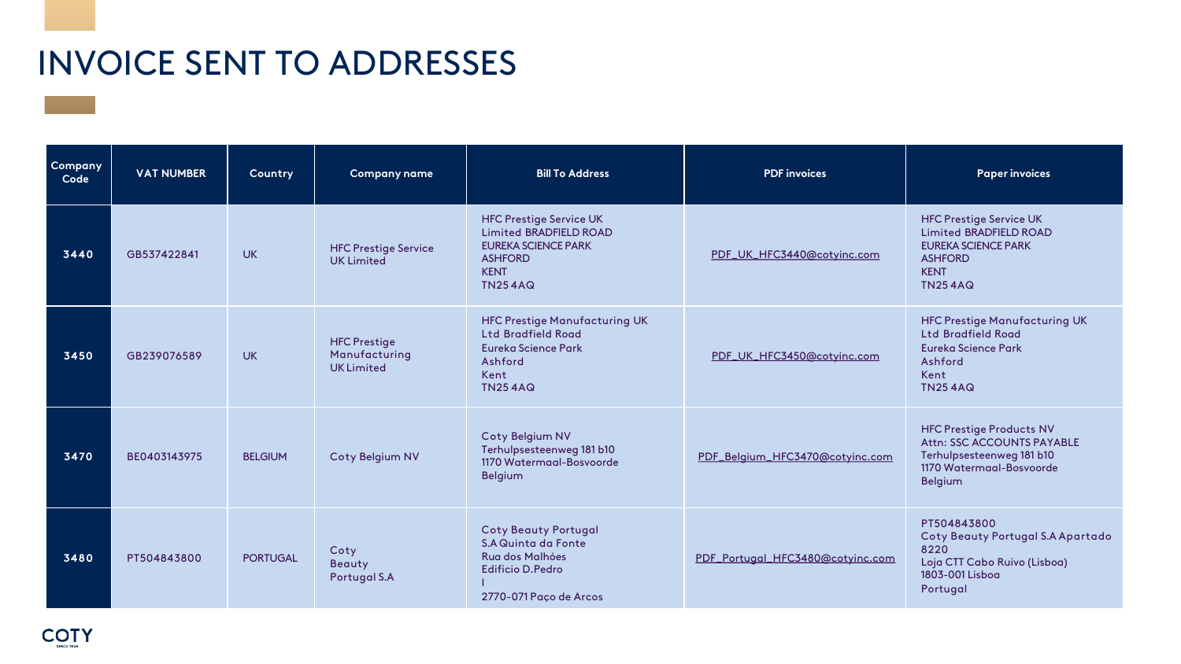| Company<br>Code | <b>VAT NUMBER</b> | Country         | <b>Company name</b>                                      | <b>Bill To Address</b>                                                                                                                    | <b>PDF</b> invoices              | <b>Paper invoices</b>                                                                                                                            |
|-----------------|-------------------|-----------------|----------------------------------------------------------|-------------------------------------------------------------------------------------------------------------------------------------------|----------------------------------|--------------------------------------------------------------------------------------------------------------------------------------------------|
| 3440            | GB537422841       | <b>UK</b>       | <b>HFC Prestige Service</b><br><b>UK Limited</b>         | <b>HFC Prestige Service UK</b><br>Limited BRADFIELD ROAD<br><b>EUREKA SCIENCE PARK</b><br><b>ASHFORD</b><br><b>KENT</b><br><b>TN254AQ</b> | PDF_UK_HFC3440@cotyinc.com       | <b>HFC Prestige Service UK</b><br><b>Limited BRADFIELD ROAD</b><br><b>EUREKA SCIENCE PARK</b><br><b>ASHFORD</b><br><b>KENT</b><br><b>TN254AQ</b> |
| 3450            | GB239076589       | <b>UK</b>       | <b>HFC Prestige</b><br>Manufacturing<br><b>UKLimited</b> | <b>HFC Prestige Manufacturing UK</b><br><b>Ltd Bradfield Road</b><br><b>Eureka Science Park</b><br>Ashford<br>Kent<br><b>TN254AQ</b>      | PDF_UK_HFC3450@cotyinc.com       | <b>HFC Prestige Manufactu</b><br><b>Ltd Bradfield Road</b><br><b>Eureka Science Park</b><br>Ashford<br>Kent<br><b>TN254AQ</b>                    |
| 3470            | BE0403143975      | <b>BELGIUM</b>  | <b>Coty Belgium NV</b>                                   | Coty Belgium NV<br>Terhulpsesteenweg 181 b10<br>1170 Watermaal-Bosvoorde<br><b>Belgium</b>                                                | PDF_Belgium_HFC3470@cotyinc.com  | <b>HFC Prestige Products N'</b><br>Attn: SSC ACCOUNTS PAY<br>Terhulpsesteenweg 181 b1<br>1170 Watermaal-Bosvoord<br><b>Belgium</b>               |
| 3480            | PT504843800       | <b>PORTUGAL</b> | Coty<br><b>Beauty</b><br><b>Portugal S.A</b>             | <b>Coty Beauty Portugal</b><br><b>S.A Quinta da Fonte</b><br>Rua dos Malhóes<br><b>Edificio D.Pedro</b><br>2770-071 Paço de Arcos         | PDF_Portugal_HFC3480@cotyinc.com | PT504843800<br><b>Coty Beauty Portugal S.</b><br>8220<br>Loja CTT Cabo Ruivo (Lisb<br>1803-001 Lisboa<br>Portugal                                |



| <b>PDF</b> invoices              | <b>Paper invoices</b>                                                                                                                            |  |  |
|----------------------------------|--------------------------------------------------------------------------------------------------------------------------------------------------|--|--|
| PDF_UK_HFC3440@cotyinc.com       | <b>HFC Prestige Service UK</b><br><b>Limited BRADFIELD ROAD</b><br><b>EUREKA SCIENCE PARK</b><br><b>ASHFORD</b><br><b>KENT</b><br><b>TN254AQ</b> |  |  |
| PDF_UK_HFC3450@cotyinc.com       | <b>HFC Prestige Manufacturing UK</b><br>Ltd Bradfield Road<br>Eureka Science Park<br>Ashford<br>Kent<br><b>TN254AQ</b>                           |  |  |
| PDF_Belgium_HFC3470@cotyinc.com  | <b>HFC Prestige Products NV</b><br><b>Attn: SSC ACCOUNTS PAYABLE</b><br>Terhulpsesteenweg 181 b10<br>1170 Watermaal-Bosvoorde<br><b>Belgium</b>  |  |  |
| PDF_Portugal_HFC3480@cotyinc.com | PT504843800<br><b>Coty Beauty Portugal S.A Apartado</b><br>8220<br>Loja CTT Cabo Ruivo (Lisboa)<br>1803-001 Lisboa<br>Portugal                   |  |  |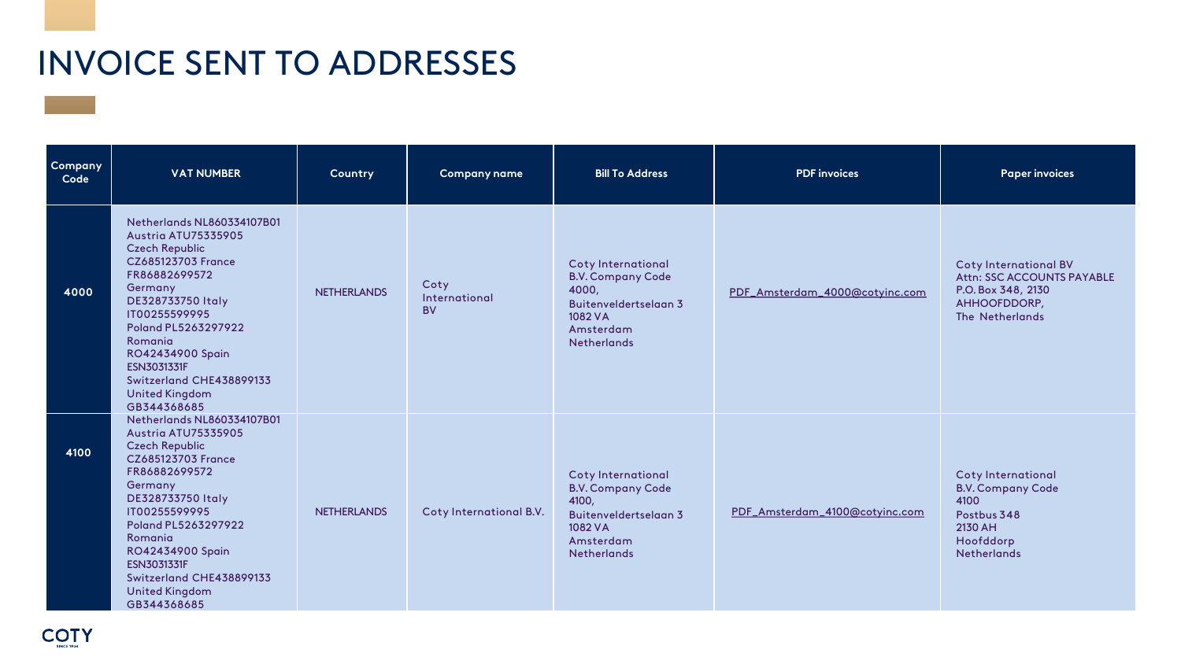| Company<br>Code | <b>VAT NUMBER</b>                                                                                                                                                                                                                                                                                           | Country            | <b>Company name</b>                | <b>Bill To Address</b>                                                                                                         | <b>PDF</b> invoices            | <b>Paper invoices</b>                                                                                               |
|-----------------|-------------------------------------------------------------------------------------------------------------------------------------------------------------------------------------------------------------------------------------------------------------------------------------------------------------|--------------------|------------------------------------|--------------------------------------------------------------------------------------------------------------------------------|--------------------------------|---------------------------------------------------------------------------------------------------------------------|
| 4000            | Netherlands NL860334107B01<br>Austria ATU75335905<br><b>Czech Republic</b><br><b>CZ685123703 France</b><br>FR86882699572<br>Germany<br>DE328733750 Italy<br>IT00255599995<br>Poland PL5263297922<br>Romania<br>RO42434900 Spain<br>ESN3031331F<br>Switzerland CHE438899133<br>United Kingdom<br>GB344368685 | <b>NETHERLANDS</b> | Coty<br>International<br><b>BV</b> | <b>Coty International</b><br><b>B.V. Company Code</b><br>4000,<br>Buitenveldertselaan 3<br>1082 VA<br>Amsterdam<br>Netherlands | PDF_Amsterdam_4000@cotyinc.com | <b>Coty International BV</b><br>Attn: SSC ACCOUNTS PAYABLE<br>P.O. Box 348, 2130<br>AHHOOFDDORP,<br>The Netherlands |
| 4100            | Netherlands NL860334107B01<br>Austria ATU75335905<br><b>Czech Republic</b><br><b>CZ685123703 France</b><br>FR86882699572<br>Germany<br>DE328733750 Italy<br>IT00255599995<br>Poland PL5263297922<br>Romania<br>RO42434900 Spain<br>ESN3031331F<br>Switzerland CHE438899133<br>United Kingdom<br>GB344368685 | <b>NETHERLANDS</b> | Coty International B.V.            | <b>Coty International</b><br><b>B.V. Company Code</b><br>4100,<br>Buitenveldertselaan 3<br>1082 VA<br>Amsterdam<br>Netherlands | PDF_Amsterdam_4100@cotyinc.com | <b>Coty International</b><br><b>B.V. Company Code</b><br>4100<br>Postbus 348<br>2130 AH<br>Hoofddorp<br>Netherlands |